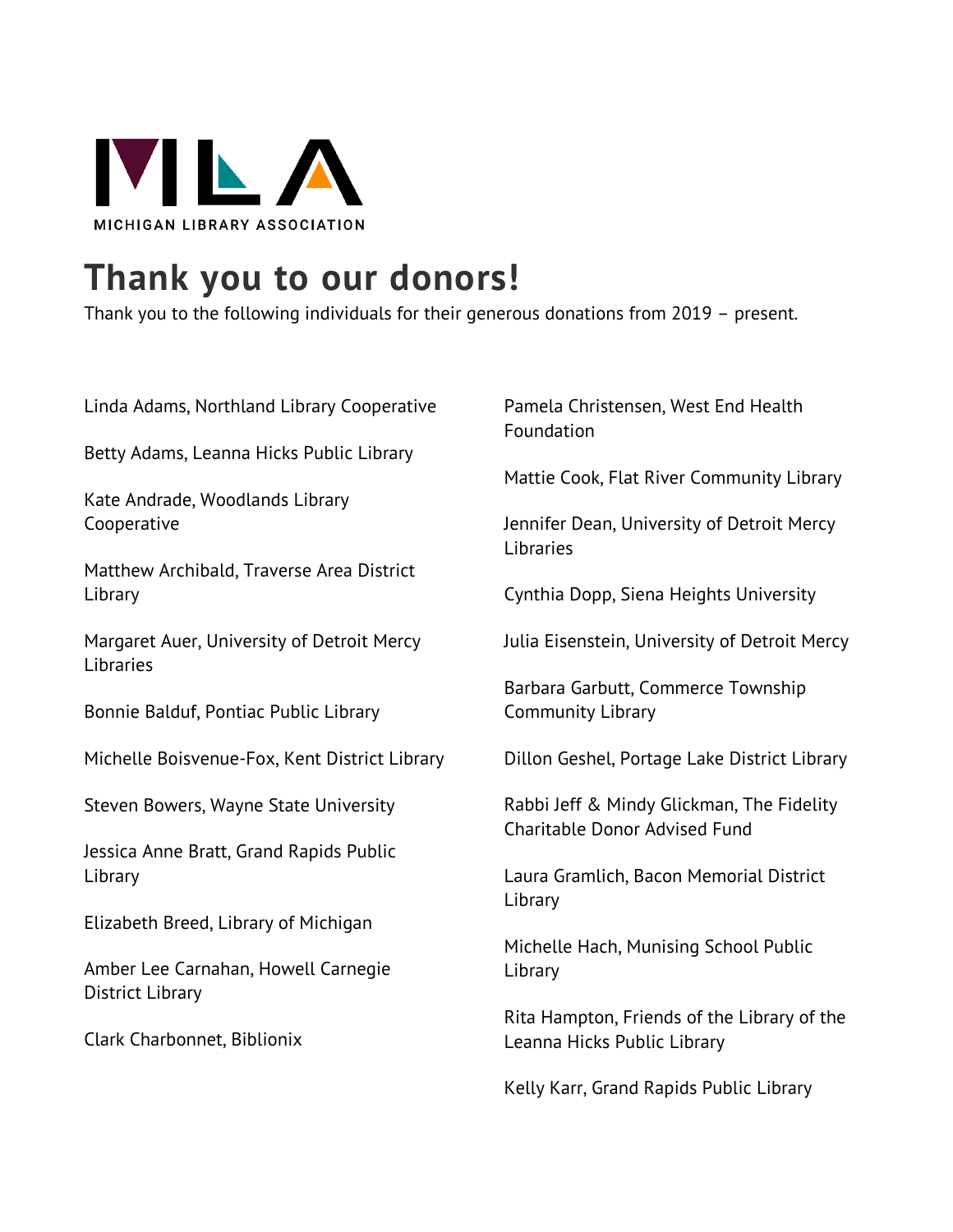

## **Thank you to our donors!**

Thank you to the following individuals for their generous donations from 2019 – present.

| Linda Adams, Northland Library Cooperative                     | Pamela Christensen, West End Health<br>Foundation                          |
|----------------------------------------------------------------|----------------------------------------------------------------------------|
| Betty Adams, Leanna Hicks Public Library                       | Mattie Cook, Flat River Community Library                                  |
| Kate Andrade, Woodlands Library<br>Cooperative                 | Jennifer Dean, University of Detroit Mercy<br>Libraries                    |
| Matthew Archibald, Traverse Area District<br>Library           | Cynthia Dopp, Siena Heights University                                     |
| Margaret Auer, University of Detroit Mercy<br>Libraries        | Julia Eisenstein, University of Detroit Mercy                              |
| Bonnie Balduf, Pontiac Public Library                          | Barbara Garbutt, Commerce Township<br><b>Community Library</b>             |
| Michelle Boisvenue-Fox, Kent District Library                  | Dillon Geshel, Portage Lake District Library                               |
| Steven Bowers, Wayne State University                          | Rabbi Jeff & Mindy Glickman, The Fidelity<br>Charitable Donor Advised Fund |
| Jessica Anne Bratt, Grand Rapids Public<br>Library             | Laura Gramlich, Bacon Memorial District<br>Library                         |
| Elizabeth Breed, Library of Michigan                           | Michelle Hach, Munising School Public                                      |
| Amber Lee Carnahan, Howell Carnegie<br><b>District Library</b> | Library                                                                    |
| Clark Charbonnet, Biblionix                                    | Rita Hampton, Friends of the Library of the<br>Leanna Hicks Public Library |
|                                                                | Kelly Karr, Grand Rapids Public Library                                    |